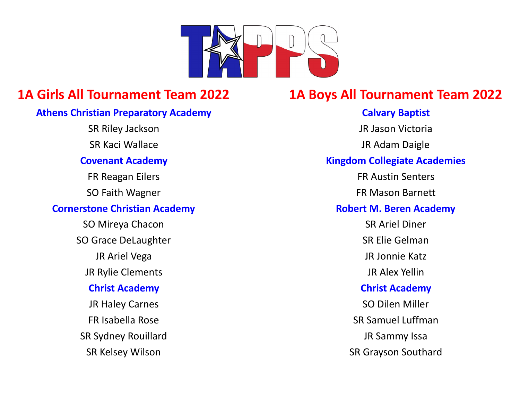

## **Athens Christian Preparatory Academy Calvary Baptist Calvary Baptist**

SO Grace DeLaughter SO Grace DeLaughter SR Elie Gelman JR Rylie Clements JR Alex Yellin SR Sydney Rouillard **SR Sydney Rouillard JR Sammy Issa** 

# **1A Girls All Tournament Team 2022 1A Boys All Tournament Team 2022**

SR Riley Jackson JR Jason Victoria SR Kaci Wallace **JR Adam Daigle Covenant Academy Kingdom Collegiate Academies** FR Reagan Eilers **FR Austin Senters** SO Faith Wagner **FR Mason Barnett Cornerstone Christian Academy Robert M. Beren Academy** SO Mireya Chacon SO Mireya Chacon SR Ariel Diner JR Ariel Vega JR Jonnie Katz **Christ Academy Christ Academy** JR Haley Carnes **SO Dilen Miller** FR Isabella Rose SR Samuel Luffman SR Kelsey Wilson SR Grayson Southard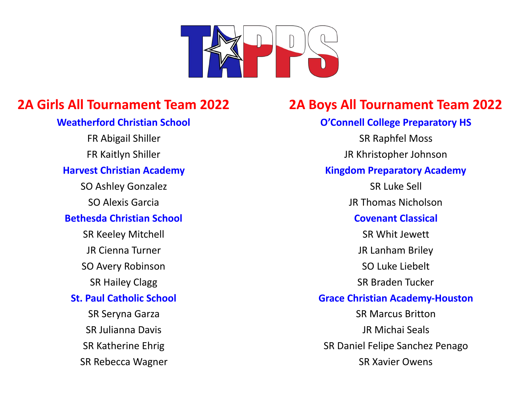

SR Rebecca Wagner SR Xavier Owens

# **2A Girls All Tournament Team 2022 2A Boys All Tournament Team 2022**

# **Weatherford Christian School Connell College Preparatory HS** FR Abigail Shiller **SR Raphfel Moss** FR Kaitlyn Shiller Johnson JR Khristopher Johnson **Harvest Christian Academy Kingdom Preparatory Academy** SO Ashley Gonzalez SR Luke Sell SO Alexis Garcia JR Thomas Nicholson **Bethesda Christian School Covenant Classical** SR Keeley Mitchell **SR Keeley Mitchell** SR Whit Jewett JR Cienna Turner **JR Lanham Briley** SO Avery Robinson SO Luke Liebelt SR Hailey Clagg SR Braden Tucker **St. Paul Catholic School Grace Christian Academy-Houston** SR Seryna Garza Santa Santa SR Marcus Britton SR Julianna Davis JR Michai Seals SR Katherine Ehrig SR Daniel Felipe Sanchez Penago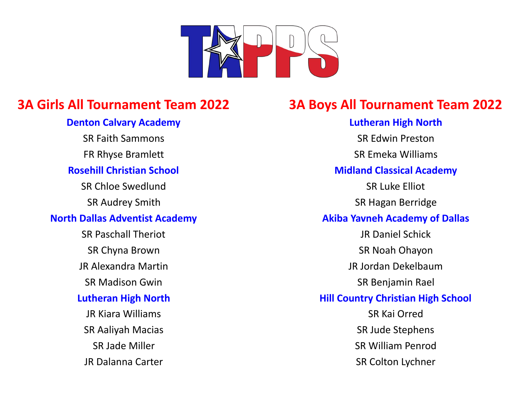

JR Dalanna Carter SR Colton Lychner

# **3A Girls All Tournament Team 2022 3A Boys All Tournament Team 2022**

**Denton Calvary Academy Lutheran High North** SR Faith Sammons SR Edwin Preston FR Rhyse Bramlett **SR Emeka Williams Rosehill Christian School Midland Classical Academy** SR Chloe Swedlund SR Luke Elliot SR Audrey Smith SR Hagan Berridge **North Dallas Adventist Academy Akiba Yavneh Academy of Dallas** SR Paschall Theriot **SR Paschall Theriot** JR Daniel Schick SR Chyna Brown SR Chyna Brown SR Noah Ohayon JR Alexandra Martin JR Jordan Dekelbaum SR Madison Gwin SR Benjamin Rael **Lutheran High North Hill Country Christian High School** JR Kiara Williams SR Kai Orred SR Aaliyah Macias SR Jude Stephens SR Jade Miller SR Jade Miller SR William Penrod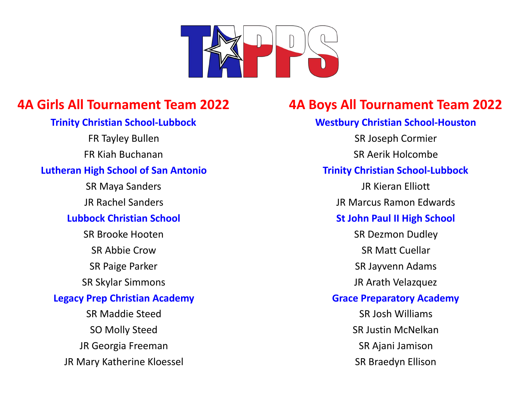

## **Lutheran High School of San Antonio Trinity Christian School-Lubbock**

JR Rachel Sanders JR Marcus Ramon Edwards

SR Abbie Crow SR Matt Cuellar SR Paige Parker SR Jayvenn Adams SR Skylar Simmons JR Arath Velazquez SR Maddie Steed SR Josh Williams SO Molly Steed SO Molly Steed SR Justin McNelkan JR Georgia Freeman Santa Company SR Ajani Jamison JR Mary Katherine Kloessel Sandwich Sandwich SR Braedyn Ellison

# **4A Girls All Tournament Team 2022 4A Boys All Tournament Team 2022**

## **Trinity Christian School-Lubbock Westbury Christian School-Houston**

FR Tayley Bullen Same Committee SR Joseph Cormier FR Kiah Buchanan SR Aerik Holcombe

SR Maya Sanders **JR Kieran Elliott** 

# **Lubbock Christian School St John Paul II High School**

SR Brooke Hooten SR Dezmon Dudley

## **Legacy Prep Christian Academy Grace Preparatory Academy**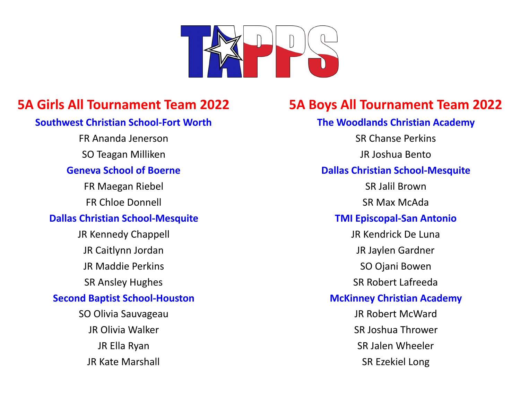

## **Southwest Christian School-Fort Worth The Woodlands Christian Academy**

FR Ananda Jenerson SR Chanse Perkins

SO Teagan Milliken JR Joshua Bento

FR Maegan Riebel Santa Communication and SR Jalil Brown

## **Dallas Christian School-Mesquite TMI Episcopal-San Antonio**

JR Kennedy Chappell JR Kendrick De Luna JR Caitlynn Jordan JR Jaylen Gardner JR Maddie Perkins **SO Ojani Bowen** SR Ansley Hughes **SR Ansley Hughes** SR Robert Lafreeda SO Olivia Sauvageau JR Robert McWard JR Olivia Walker SR Joshua Thrower

# **5A Girls All Tournament Team 2022 5A Boys All Tournament Team 2022**

## **Geneva School of Boerne Dallas Christian School-Mesquite**

FR Chloe Donnell SR Max McAda

## **Second Baptist School-Houston McKinney Christian Academy**

JR Ella Ryan SR Jalen Wheeler JR Kate Marshall SR Ezekiel Long